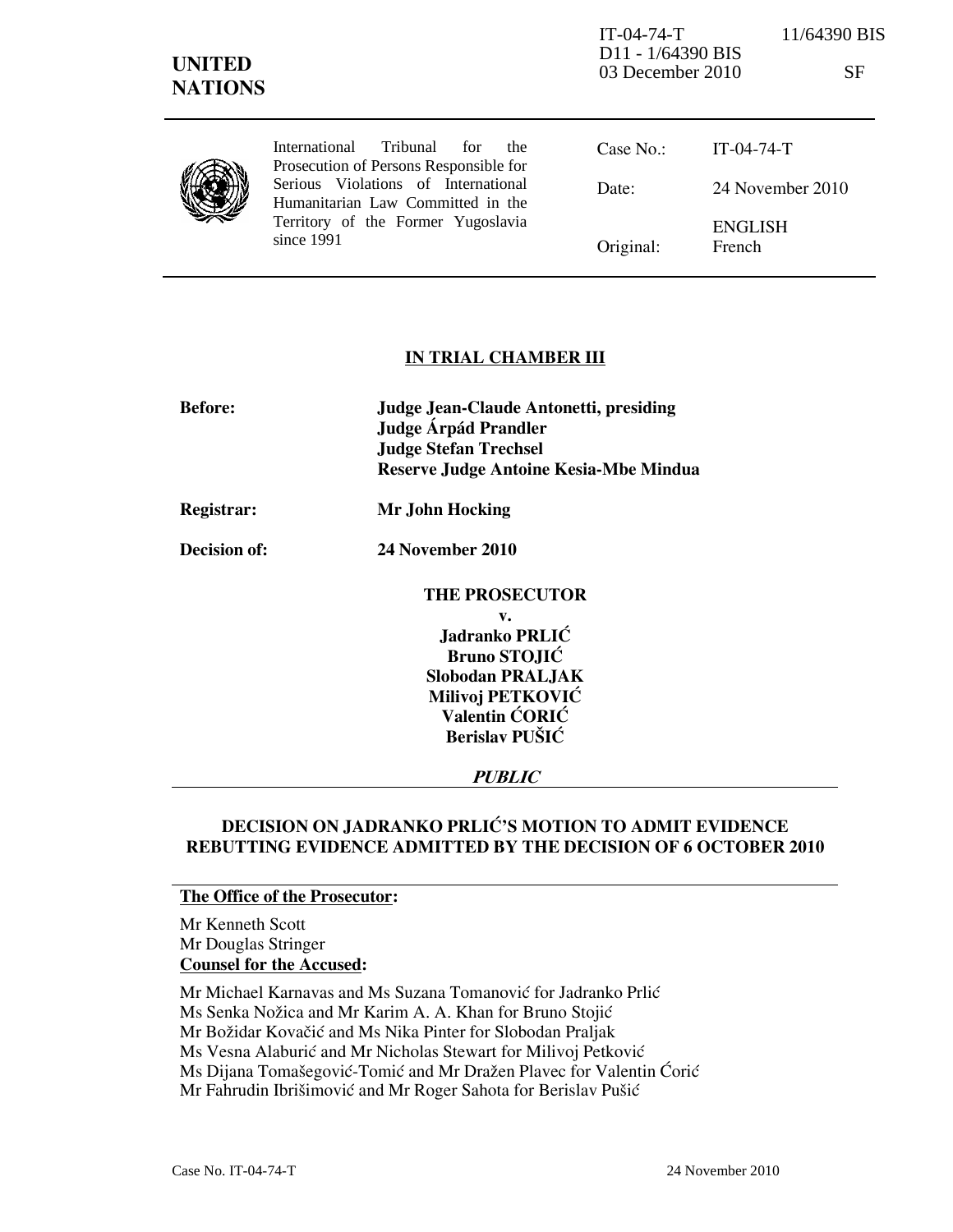| <b>UNITED</b><br><b>NATIONS</b> |                                                                                                                              | $IT-04-74-T$<br>D <sub>11</sub> - 1/64390 BIS<br>03 December 2010 |                                 | 11/64390 BIS<br><b>SF</b> |
|---------------------------------|------------------------------------------------------------------------------------------------------------------------------|-------------------------------------------------------------------|---------------------------------|---------------------------|
|                                 | Tribunal<br>International<br>for<br>the.<br>Prosecution of Persons Responsible for                                           | Case No.                                                          | $IT-04-74-T$                    |                           |
|                                 | Serious Violations of International<br>Humanitarian Law Committed in the<br>Territory of the Former Yugoslavia<br>since 1991 | Date:                                                             | 24 November 2010                |                           |
|                                 |                                                                                                                              | Original:                                                         | <b>ENGLISH</b><br><b>French</b> |                           |

## IN TRIAL CHAMBER III

| <b>Before:</b>    | <b>Judge Jean-Claude Antonetti, presiding</b><br>Judge Árpád Prandler |
|-------------------|-----------------------------------------------------------------------|
|                   | <b>Judge Stefan Trechsel</b>                                          |
|                   |                                                                       |
|                   | Reserve Judge Antoine Kesia-Mbe Mindua                                |
| <b>Registrar:</b> | Mr John Hocking                                                       |
| Decision of:      | 24 November 2010                                                      |
|                   | <b>THE PROSECUTOR</b>                                                 |
|                   | v.                                                                    |
|                   | Jadranko PRLIĆ                                                        |
|                   | <b>Bruno STOJIĆ</b>                                                   |
|                   | <b>Slobodan PRALJAK</b>                                               |
|                   | Milivoj PETKOVIĆ                                                      |
|                   | Valentin CORIC                                                        |
|                   | Berislav PUŠIĆ                                                        |
|                   | <i>PUBLIC</i>                                                         |

## DECISION ON JADRANKO PRLIĆ'S MOTION TO ADMIT EVIDENCE REBUTTING EVIDENCE ADMITTED BY THE DECISION OF 6 OCTOBER 2010

## The Office of the Prosecutor:

Mr Kenneth Scott Mr Douglas Stringer Counsel for the Accused:

Mr Michael Karnavas and Ms Suzana Tomanović for Jadranko Prlić

Ms Senka Nožica and Mr Karim A. A. Khan for Bruno Stojić

Mr Božidar Kovačić and Ms Nika Pinter for Slobodan Praljak

Ms Vesna Alaburić and Mr Nicholas Stewart for Milivoj Petković

Ms Dijana Tomašegović-Tomić and Mr Dražen Plavec for Valentin Ćorić

Mr Fahrudin Ibrišimović and Mr Roger Sahota for Berislav Pušić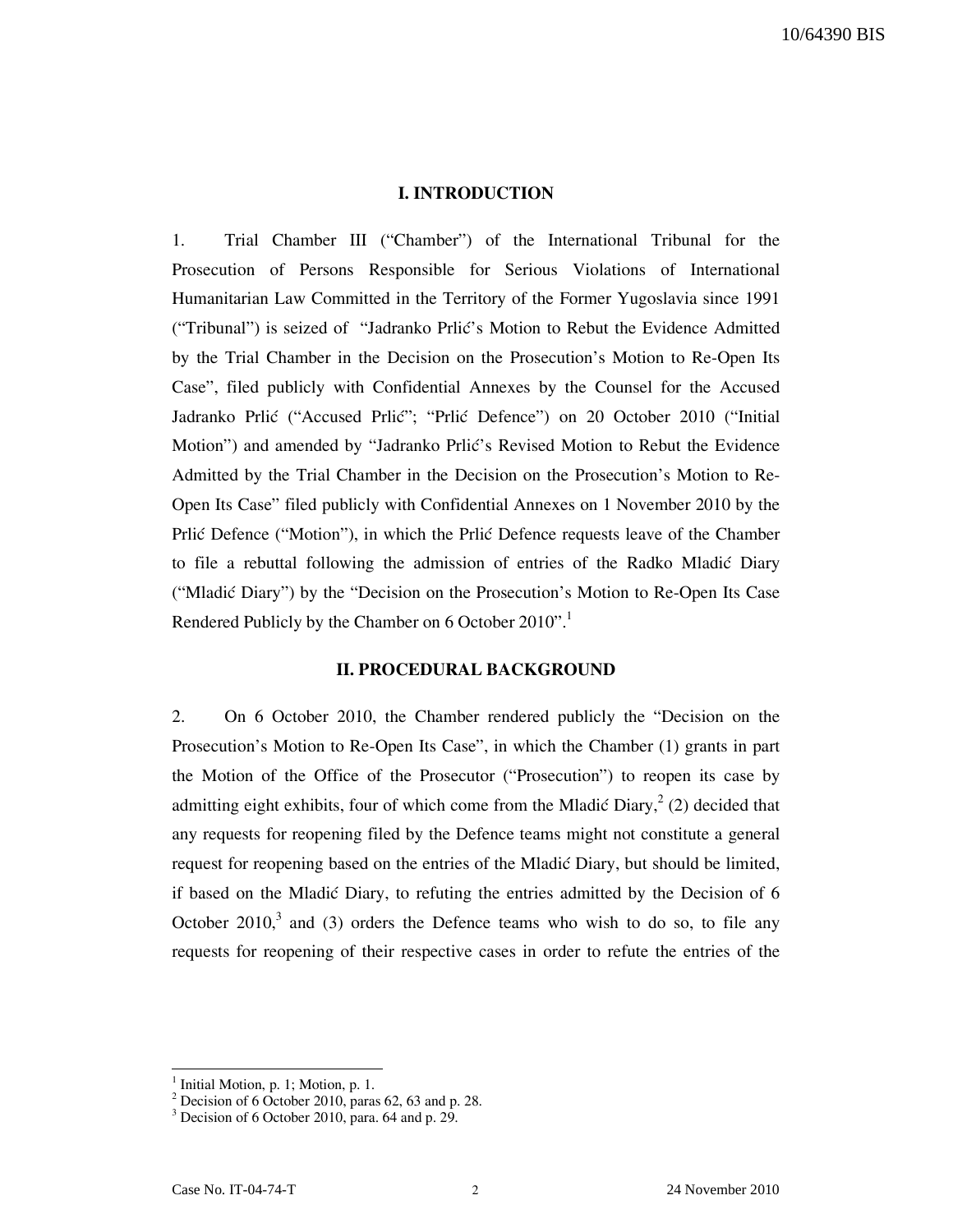### I. INTRODUCTION

1. Trial Chamber III ("Chamber") of the International Tribunal for the Prosecution of Persons Responsible for Serious Violations of International Humanitarian Law Committed in the Territory of the Former Yugoslavia since 1991 ("Tribunal") is seized of "Jadranko Prlić's Motion to Rebut the Evidence Admitted by the Trial Chamber in the Decision on the Prosecution's Motion to Re-Open Its Case", filed publicly with Confidential Annexes by the Counsel for the Accused Jadranko Prlić ("Accused Prlić"; "Prlić Defence") on 20 October 2010 ("Initial Motion") and amended by "Jadranko Prlic's Revised Motion to Rebut the Evidence Admitted by the Trial Chamber in the Decision on the Prosecution's Motion to Re-Open Its Case" filed publicly with Confidential Annexes on 1 November 2010 by the Prlic Defence ("Motion"), in which the Prlic Defence requests leave of the Chamber to file a rebuttal following the admission of entries of the Radko Mladić Diary ("Mladi} Diary") by the "Decision on the Prosecution's Motion to Re-Open Its Case Rendered Publicly by the Chamber on 6 October 2010".

### II. PROCEDURAL BACKGROUND

2. On 6 October 2010, the Chamber rendered publicly the "Decision on the Prosecution's Motion to Re-Open Its Case", in which the Chamber (1) grants in part the Motion of the Office of the Prosecutor ("Prosecution") to reopen its case by admitting eight exhibits, four of which come from the Mladić Diary,  $2$  (2) decided that any requests for reopening filed by the Defence teams might not constitute a general request for reopening based on the entries of the Mladić Diary, but should be limited, if based on the Mladić Diary, to refuting the entries admitted by the Decision of  $6$ October 2010,<sup>3</sup> and (3) orders the Defence teams who wish to do so, to file any requests for reopening of their respective cases in order to refute the entries of the

<sup>&</sup>lt;sup>1</sup> Initial Motion, p. 1; Motion, p. 1.<br><sup>2</sup> Decision of 6 October 2010, paras 62, 63 and p. 28.

<sup>&</sup>lt;sup>3</sup> Decision of 6 October 2010, para. 64 and p. 29.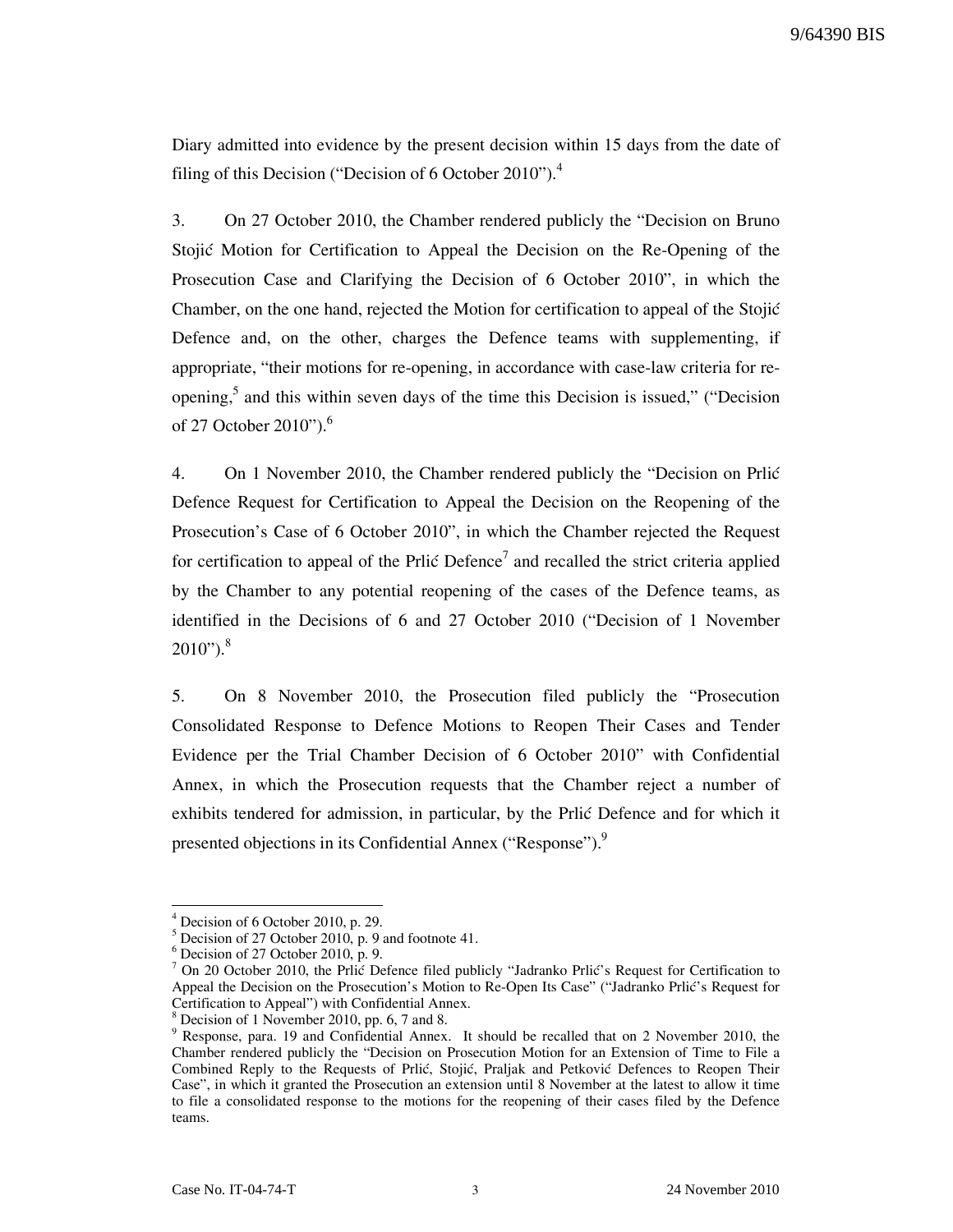9/64390 BIS

Diary admitted into evidence by the present decision within 15 days from the date of filing of this Decision ("Decision of 6 October 2010").<sup>4</sup>

3. On 27 October 2010, the Chamber rendered publicly the "Decision on Bruno Stojić Motion for Certification to Appeal the Decision on the Re-Opening of the Prosecution Case and Clarifying the Decision of 6 October 2010", in which the Chamber, on the one hand, rejected the Motion for certification to appeal of the Stojić Defence and, on the other, charges the Defence teams with supplementing, if appropriate, "their motions for re-opening, in accordance with case-law criteria for reopening,<sup>5</sup> and this within seven days of the time this Decision is issued," ("Decision of 27 October 2010").<sup>6</sup>

4. On 1 November 2010, the Chamber rendered publicly the "Decision on Price" Defence Request for Certification to Appeal the Decision on the Reopening of the Prosecution's Case of 6 October 2010", in which the Chamber rejected the Request for certification to appeal of the Prlić Defence<sup>7</sup> and recalled the strict criteria applied by the Chamber to any potential reopening of the cases of the Defence teams, as identified in the Decisions of 6 and 27 October 2010 ("Decision of 1 November  $2010"$ ).<sup>8</sup>

5. On 8 November 2010, the Prosecution filed publicly the "Prosecution Consolidated Response to Defence Motions to Reopen Their Cases and Tender Evidence per the Trial Chamber Decision of 6 October 2010" with Confidential Annex, in which the Prosecution requests that the Chamber reject a number of exhibits tendered for admission, in particular, by the Prlic Defence and for which it presented objections in its Confidential Annex ("Response").<sup>9</sup>

<sup>4</sup> Decision of 6 October 2010, p. 29.

 $<sup>5</sup>$  Decision of 27 October 2010, p. 9 and footnote 41.</sup>

 $6$  Decision of 27 October 2010, p. 9.

 $<sup>7</sup>$  On 20 October 2010, the Prlic Defence filed publicly "Jadranko Prlic's Request for Certification to</sup> Appeal the Decision on the Prosecution's Motion to Re-Open Its Case" ("Jadranko Prlić's Request for Certification to Appeal") with Confidential Annex.<br><sup>8</sup> Decision of 1 November 2010, np. 6, 7 and 8.

Decision of 1 November 2010, pp. 6, 7 and 8.

<sup>&</sup>lt;sup>9</sup> Response, para. 19 and Confidential Annex. It should be recalled that on 2 November 2010, the Chamber rendered publicly the "Decision on Prosecution Motion for an Extension of Time to File a Combined Reply to the Requests of Prlić, Stojić, Praljak and Petković Defences to Reopen Their Case", in which it granted the Prosecution an extension until 8 November at the latest to allow it time to file a consolidated response to the motions for the reopening of their cases filed by the Defence teams.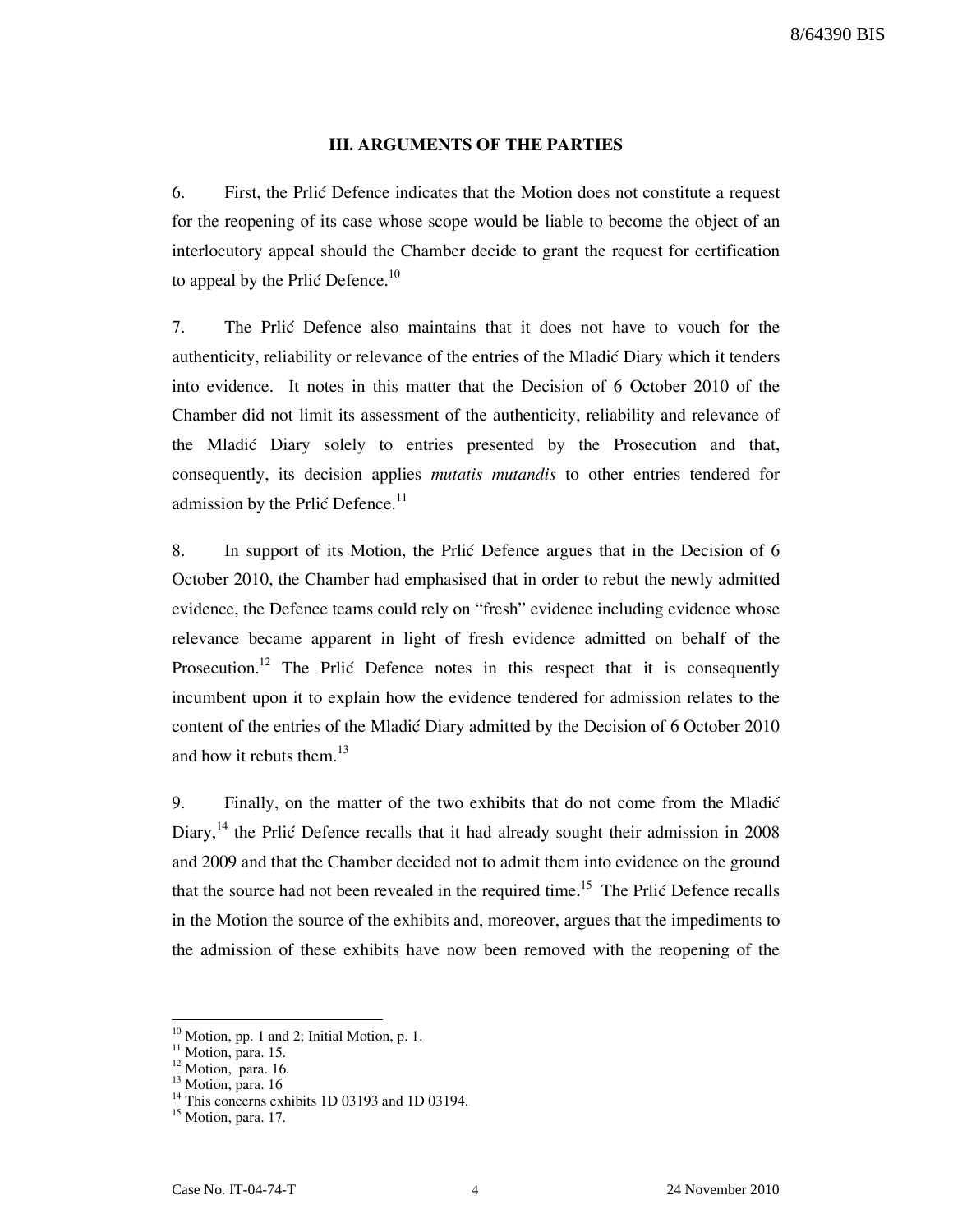## III. ARGUMENTS OF THE PARTIES

6. First, the Prlić Defence indicates that the Motion does not constitute a request for the reopening of its case whose scope would be liable to become the object of an interlocutory appeal should the Chamber decide to grant the request for certification to appeal by the Prlic Defence.<sup>10</sup>

7. The Prlić Defence also maintains that it does not have to vouch for the authenticity, reliability or relevance of the entries of the Mladić Diary which it tenders into evidence. It notes in this matter that the Decision of 6 October 2010 of the Chamber did not limit its assessment of the authenticity, reliability and relevance of the Mladić Diary solely to entries presented by the Prosecution and that, consequently, its decision applies *mutatis mutandis* to other entries tendered for admission by the Prlić Defence. $^{11}$ 

8. In support of its Motion, the Prlić Defence argues that in the Decision of 6 October 2010, the Chamber had emphasised that in order to rebut the newly admitted evidence, the Defence teams could rely on "fresh" evidence including evidence whose relevance became apparent in light of fresh evidence admitted on behalf of the Prosecution.<sup>12</sup> The Prlić Defence notes in this respect that it is consequently incumbent upon it to explain how the evidence tendered for admission relates to the content of the entries of the Mladić Diary admitted by the Decision of 6 October 2010 and how it rebuts them.<sup>13</sup>

9. Finally, on the matter of the two exhibits that do not come from the Mladić Diary,<sup>14</sup> the Prlić Defence recalls that it had already sought their admission in 2008 and 2009 and that the Chamber decided not to admit them into evidence on the ground that the source had not been revealed in the required time.<sup>15</sup> The Prlić Defence recalls in the Motion the source of the exhibits and, moreover, argues that the impediments to the admission of these exhibits have now been removed with the reopening of the

<sup>&</sup>lt;sup>10</sup> Motion, pp. 1 and 2; Initial Motion, p. 1.

 $\frac{11 \text{ Motion}}{11 \text{ Motion}}$ , para. 15.

 $12$  Motion, para. 16.

<sup>&</sup>lt;sup>13</sup> Motion, para. 16

<sup>&</sup>lt;sup>14</sup> This concerns exhibits 1D 03193 and 1D 03194.

 $15$  Motion, para. 17.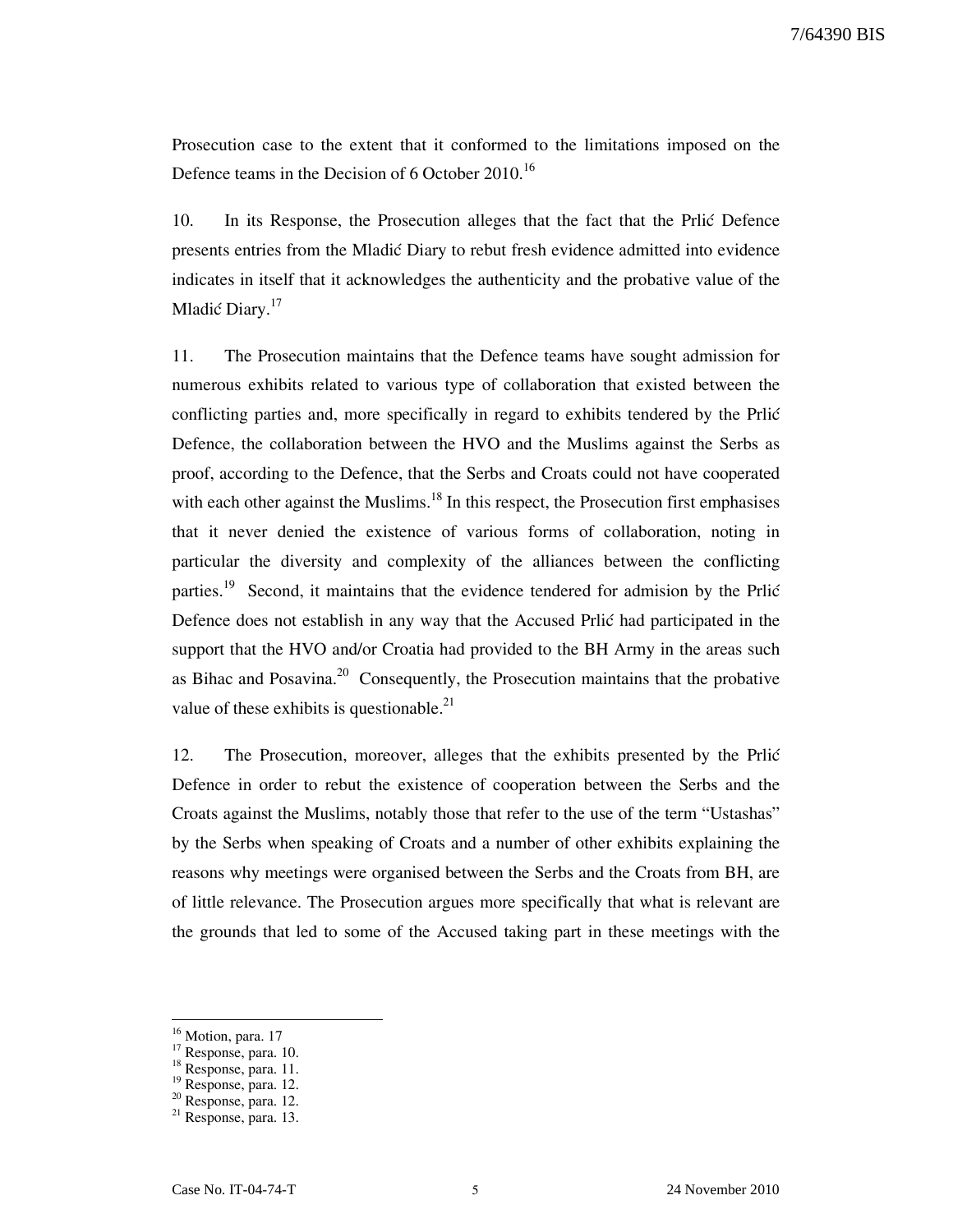Prosecution case to the extent that it conformed to the limitations imposed on the Defence teams in the Decision of 6 October 2010.<sup>16</sup>

10. In its Response, the Prosecution alleges that the fact that the Prlić Defence presents entries from the Mladic Diary to rebut fresh evidence admitted into evidence indicates in itself that it acknowledges the authenticity and the probative value of the Mladić Diary.<sup>17</sup>

11. The Prosecution maintains that the Defence teams have sought admission for numerous exhibits related to various type of collaboration that existed between the conflicting parties and, more specifically in regard to exhibits tendered by the Prlic Defence, the collaboration between the HVO and the Muslims against the Serbs as proof, according to the Defence, that the Serbs and Croats could not have cooperated with each other against the Muslims.<sup>18</sup> In this respect, the Prosecution first emphasises that it never denied the existence of various forms of collaboration, noting in particular the diversity and complexity of the alliances between the conflicting parties.<sup>19</sup> Second, it maintains that the evidence tendered for admision by the Prlić Defence does not establish in any way that the Accused Prlić had participated in the support that the HVO and/or Croatia had provided to the BH Army in the areas such as Bihac and Posavina.<sup>20</sup> Consequently, the Prosecution maintains that the probative value of these exhibits is questionable.<sup>21</sup>

12. The Prosecution, moreover, alleges that the exhibits presented by the Price Defence in order to rebut the existence of cooperation between the Serbs and the Croats against the Muslims, notably those that refer to the use of the term "Ustashas" by the Serbs when speaking of Croats and a number of other exhibits explaining the reasons why meetings were organised between the Serbs and the Croats from BH, are of little relevance. The Prosecution argues more specifically that what is relevant are the grounds that led to some of the Accused taking part in these meetings with the

<sup>&</sup>lt;sup>16</sup> Motion, para. 17

 $17$  Response, para. 10.

<sup>&</sup>lt;sup>18</sup> Response, para. 11.

<sup>19</sup> Response, para. 12.

<sup>20</sup> Response, para. 12.

 $21$  Response, para. 13.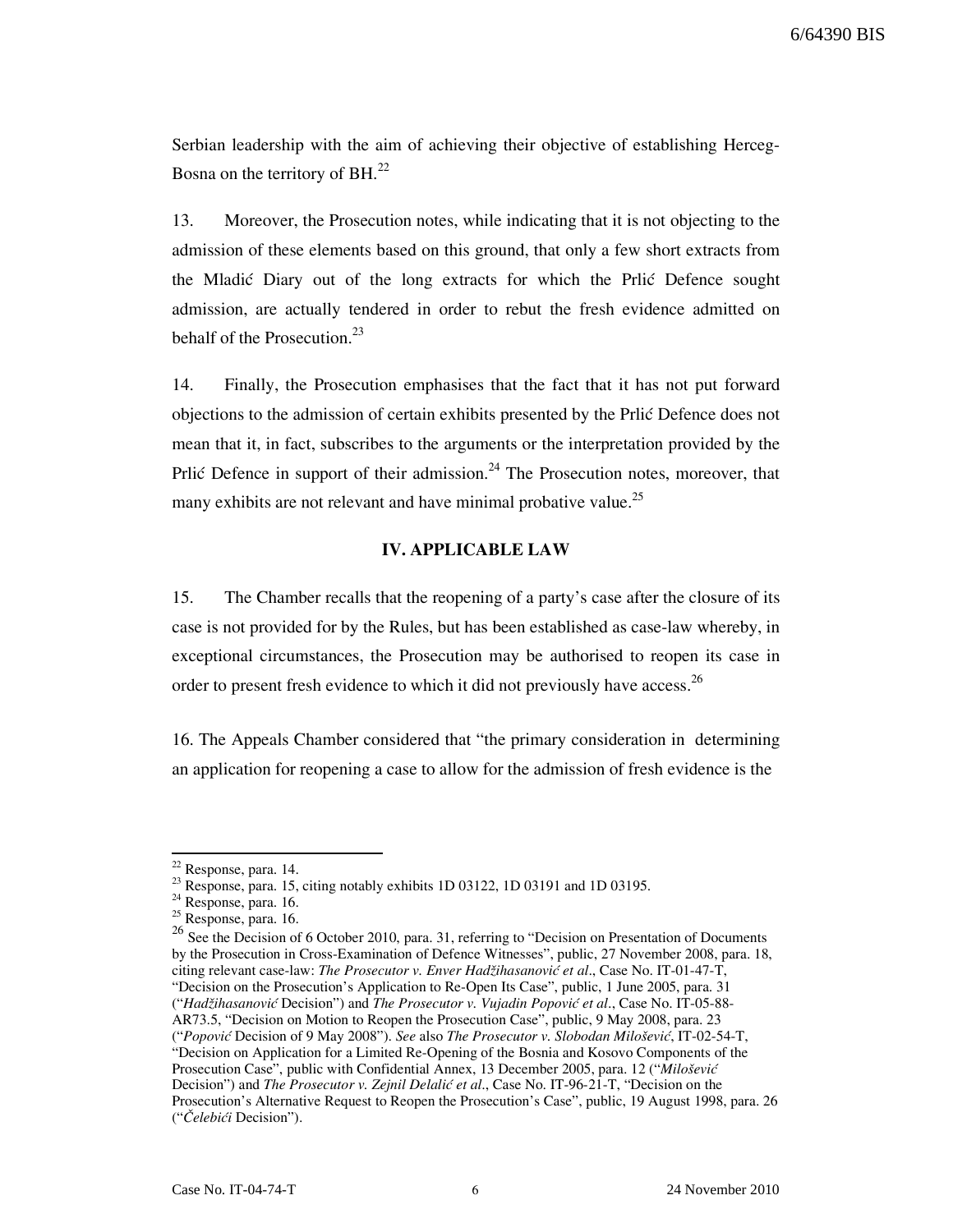Serbian leadership with the aim of achieving their objective of establishing Herceg-Bosna on the territory of BH.<sup>22</sup>

13. Moreover, the Prosecution notes, while indicating that it is not objecting to the admission of these elements based on this ground, that only a few short extracts from the Mladić Diary out of the long extracts for which the Prlić Defence sought admission, are actually tendered in order to rebut the fresh evidence admitted on behalf of the Prosecution. $^{23}$ 

14. Finally, the Prosecution emphasises that the fact that it has not put forward objections to the admission of certain exhibits presented by the Prlić Defence does not mean that it, in fact, subscribes to the arguments or the interpretation provided by the Prlić Defence in support of their admission.<sup>24</sup> The Prosecution notes, moreover, that many exhibits are not relevant and have minimal probative value.<sup>25</sup>

#### IV. APPLICABLE LAW

15. The Chamber recalls that the reopening of a party's case after the closure of its case is not provided for by the Rules, but has been established as case-law whereby, in exceptional circumstances, the Prosecution may be authorised to reopen its case in order to present fresh evidence to which it did not previously have access.<sup>26</sup>

16. The Appeals Chamber considered that "the primary consideration in determining an application for reopening a case to allow for the admission of fresh evidence is the

 $22$  Response, para. 14.

<sup>&</sup>lt;sup>23</sup> Response, para. 15, citing notably exhibits 1D 03122, 1D 03191 and 1D 03195.

<sup>&</sup>lt;sup>24</sup> Response, para. 16.

 $25$  Response, para. 16.

<sup>&</sup>lt;sup>26</sup> See the Decision of 6 October 2010, para. 31, referring to "Decision on Presentation of Documents" by the Prosecution in Cross-Examination of Defence Witnesses", public, 27 November 2008, para. 18, citing relevant case-law: The Prosecutor v. Enver Hadžihasanović et al., Case No. IT-01-47-T, "Decision on the Prosecution's Application to Re-Open Its Case", public, 1 June 2005, para. 31 ("Hadžihasanović Decision") and The Prosecutor v. Vujadin Popović et al., Case No. IT-05-88- AR73.5, "Decision on Motion to Reopen the Prosecution Case", public, 9 May 2008, para. 23 ("Popović Decision of 9 May 2008"). See also The Prosecutor v. Slobodan Milošević, IT-02-54-T, "Decision on Application for a Limited Re-Opening of the Bosnia and Kosovo Components of the Prosecution Case", public with Confidential Annex, 13 December 2005, para. 12 ("Milošević Decision") and The Prosecutor v. Zejnil Delalić et al., Case No. IT-96-21-T, "Decision on the Prosecution's Alternative Request to Reopen the Prosecution's Case", public, 19 August 1998, para. 26 ("Čelebići Decision").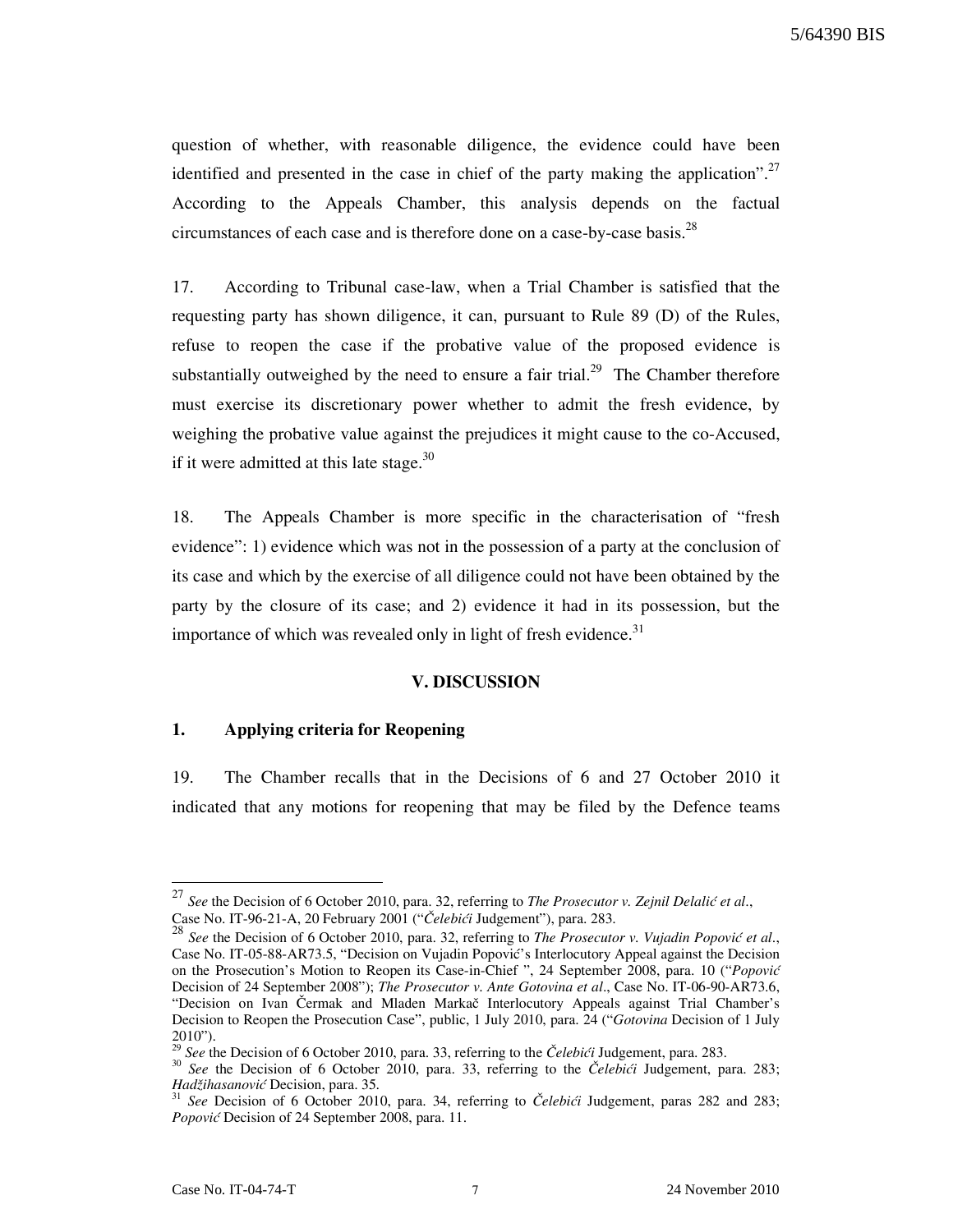5/64390 BIS

question of whether, with reasonable diligence, the evidence could have been identified and presented in the case in chief of the party making the application".<sup>27</sup> According to the Appeals Chamber, this analysis depends on the factual circumstances of each case and is therefore done on a case-by-case basis.<sup>28</sup>

17. According to Tribunal case-law, when a Trial Chamber is satisfied that the requesting party has shown diligence, it can, pursuant to Rule 89 (D) of the Rules, refuse to reopen the case if the probative value of the proposed evidence is substantially outweighed by the need to ensure a fair trial.<sup>29</sup> The Chamber therefore must exercise its discretionary power whether to admit the fresh evidence, by weighing the probative value against the prejudices it might cause to the co-Accused, if it were admitted at this late stage.<sup>30</sup>

18. The Appeals Chamber is more specific in the characterisation of "fresh evidence": 1) evidence which was not in the possession of a party at the conclusion of its case and which by the exercise of all diligence could not have been obtained by the party by the closure of its case; and 2) evidence it had in its possession, but the importance of which was revealed only in light of fresh evidence.<sup>31</sup>

#### V. DISCUSSION

## 1. Applying criteria for Reopening

19. The Chamber recalls that in the Decisions of 6 and 27 October 2010 it indicated that any motions for reopening that may be filed by the Defence teams

<sup>&</sup>lt;sup>27</sup> See the Decision of 6 October 2010, para. 32, referring to *The Prosecutor v. Zejnil Delalić et al.*, Case No. IT-96-21-A, 20 February 2001 ("Čelebići Judgement"), para. 283.

 $28$  See the Decision of 6 October 2010, para. 32, referring to *The Prosecutor v. Vujadin Popović et al.*, Case No. IT-05-88-AR73.5, "Decision on Vujadin Popović's Interlocutory Appeal against the Decision on the Prosecution's Motion to Reopen its Case-in-Chief ", 24 September 2008, para. 10 ("Popović Decision of 24 September 2008"); The Prosecutor v. Ante Gotovina et al., Case No. IT-06-90-AR73.6, "Decision on Ivan Čermak and Mladen Markač Interlocutory Appeals against Trial Chamber's Decision to Reopen the Prosecution Case", public, 1 July 2010, para. 24 ("Gotovina Decision of 1 July  $2010"$ ).

See the Decision of 6 October 2010, para. 33, referring to the Čelebići Judgement, para. 283.

 $30$  See the Decision of 6 October 2010, para. 33, referring to the *Čelebići* Judgement, para. 283; Hadžihasanović Decision, para. 35.

See Decision of 6 October 2010, para. 34, referring to Čelebići Judgement, paras 282 and 283; Popović Decision of 24 September 2008, para. 11.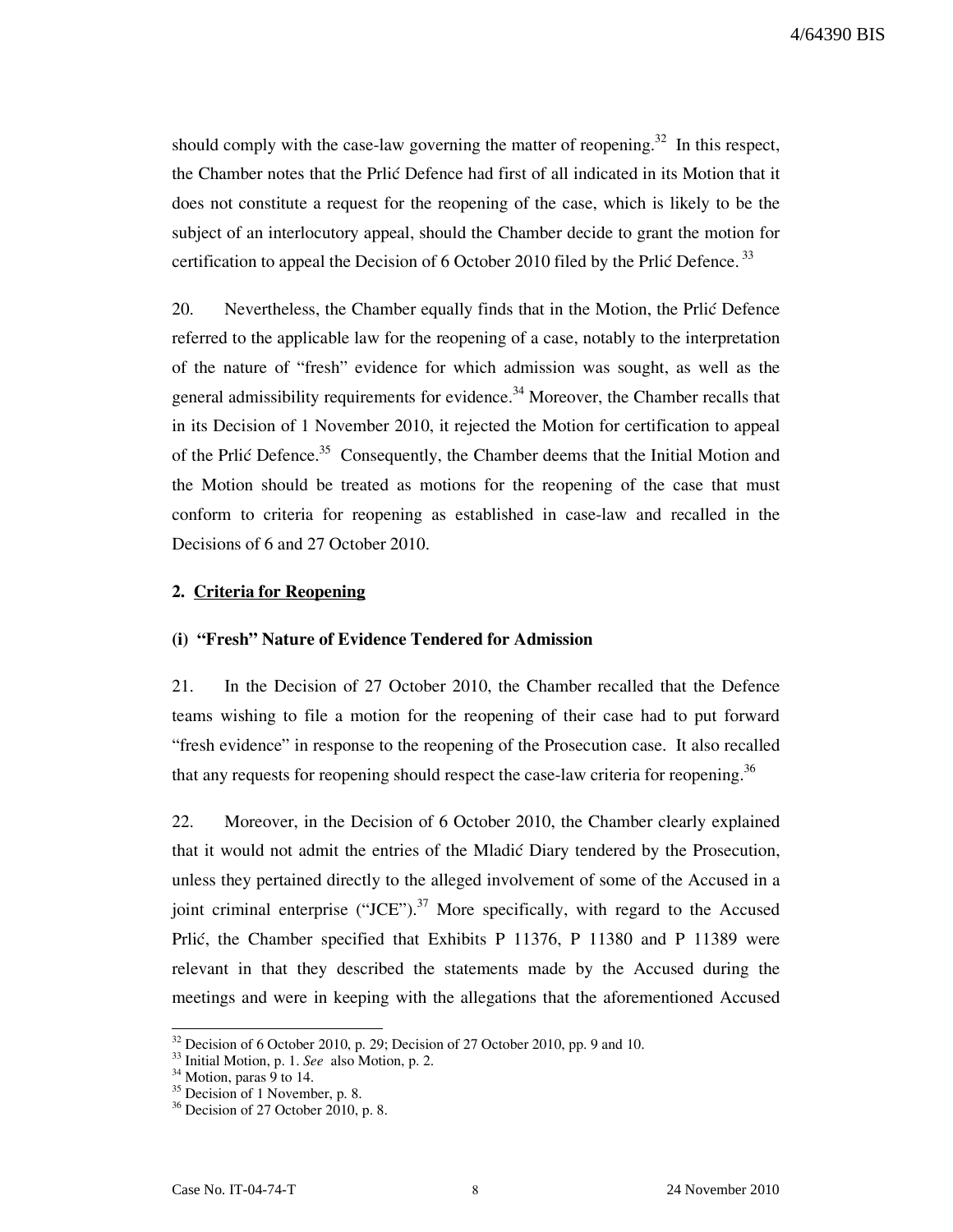should comply with the case-law governing the matter of reopening.<sup>32</sup> In this respect, the Chamber notes that the Prlić Defence had first of all indicated in its Motion that it does not constitute a request for the reopening of the case, which is likely to be the subject of an interlocutory appeal, should the Chamber decide to grant the motion for certification to appeal the Decision of  $6$  October 2010 filed by the Prlić Defence.<sup>33</sup>

20. Nevertheless, the Chamber equally finds that in the Motion, the Prlić Defence referred to the applicable law for the reopening of a case, notably to the interpretation of the nature of "fresh" evidence for which admission was sought, as well as the general admissibility requirements for evidence.<sup>34</sup> Moreover, the Chamber recalls that in its Decision of 1 November 2010, it rejected the Motion for certification to appeal of the Prlić Defence.<sup>35</sup> Consequently, the Chamber deems that the Initial Motion and the Motion should be treated as motions for the reopening of the case that must conform to criteria for reopening as established in case-law and recalled in the Decisions of 6 and 27 October 2010.

### 2. Criteria for Reopening

#### (i) "Fresh" Nature of Evidence Tendered for Admission

21. In the Decision of 27 October 2010, the Chamber recalled that the Defence teams wishing to file a motion for the reopening of their case had to put forward "fresh evidence" in response to the reopening of the Prosecution case. It also recalled that any requests for reopening should respect the case-law criteria for reopening.<sup>36</sup>

22. Moreover, in the Decision of 6 October 2010, the Chamber clearly explained that it would not admit the entries of the Mladić Diary tendered by the Prosecution, unless they pertained directly to the alleged involvement of some of the Accused in a joint criminal enterprise ("JCE").<sup>37</sup> More specifically, with regard to the Accused Prlić, the Chamber specified that Exhibits P 11376, P 11380 and P 11389 were relevant in that they described the statements made by the Accused during the meetings and were in keeping with the allegations that the aforementioned Accused

 $32$  Decision of 6 October 2010, p. 29; Decision of 27 October 2010, pp. 9 and 10.

<sup>&</sup>lt;sup>33</sup> Initial Motion, p. 1. See also Motion, p. 2.

 $34$  Motion, paras 9 to 14.

<sup>&</sup>lt;sup>35</sup> Decision of 1 November, p. 8.

 $36$  Decision of 27 October 2010, p. 8.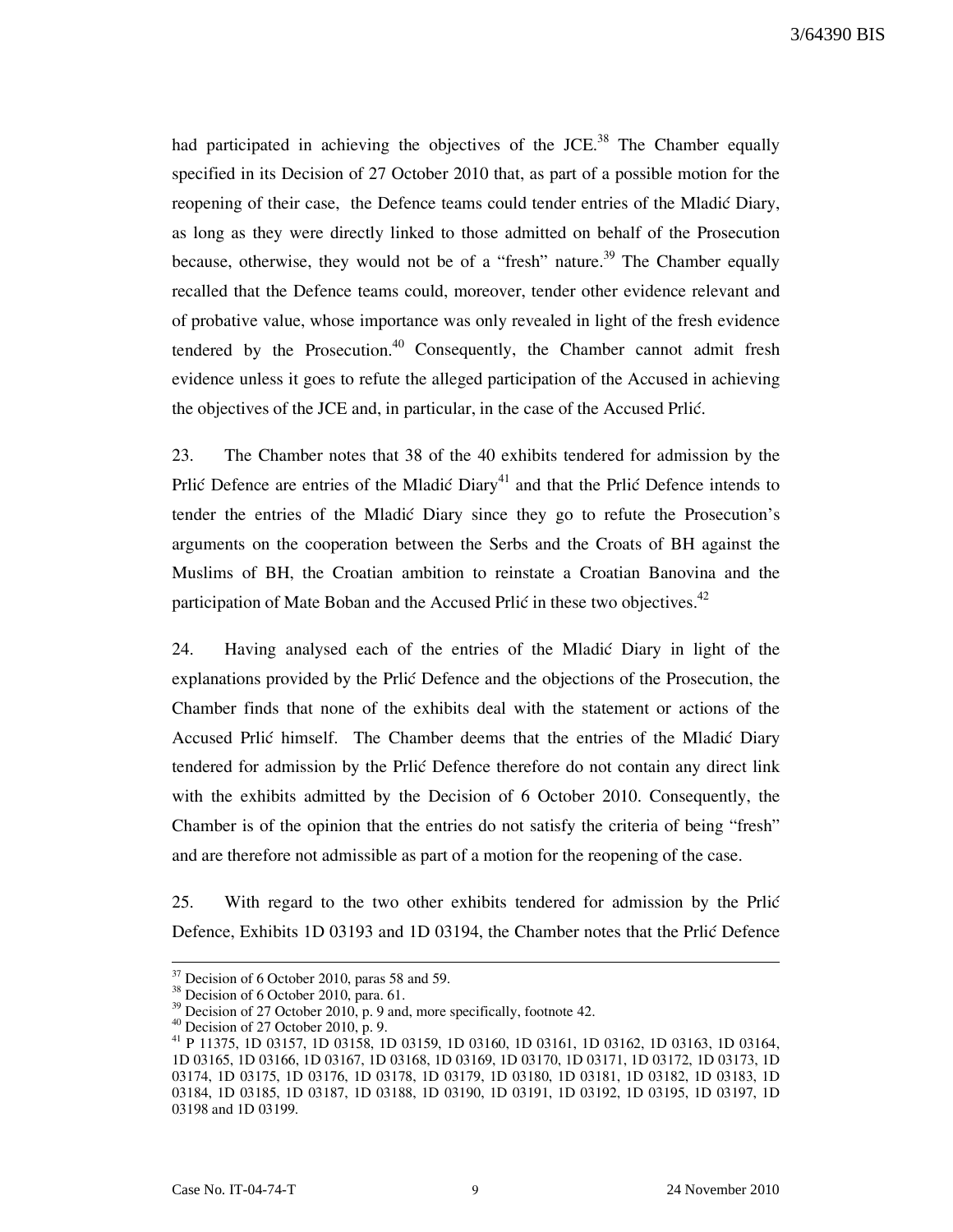3/64390 BIS

had participated in achieving the objectives of the JCE.<sup>38</sup> The Chamber equally specified in its Decision of 27 October 2010 that, as part of a possible motion for the reopening of their case, the Defence teams could tender entries of the Mladić Diary, as long as they were directly linked to those admitted on behalf of the Prosecution because, otherwise, they would not be of a "fresh" nature.<sup>39</sup> The Chamber equally recalled that the Defence teams could, moreover, tender other evidence relevant and of probative value, whose importance was only revealed in light of the fresh evidence tendered by the Prosecution.<sup>40</sup> Consequently, the Chamber cannot admit fresh evidence unless it goes to refute the alleged participation of the Accused in achieving the objectives of the JCE and, in particular, in the case of the Accused Prlić.

23. The Chamber notes that 38 of the 40 exhibits tendered for admission by the Prlić Defence are entries of the Mladić Diary<sup>41</sup> and that the Prlić Defence intends to tender the entries of the Mladić Diary since they go to refute the Prosecution's arguments on the cooperation between the Serbs and the Croats of BH against the Muslims of BH, the Croatian ambition to reinstate a Croatian Banovina and the participation of Mate Boban and the Accused Prlić in these two objectives.<sup>42</sup>

24. Having analysed each of the entries of the Mladić Diary in light of the explanations provided by the Prlic Defence and the objections of the Prosecution, the Chamber finds that none of the exhibits deal with the statement or actions of the Accused Prlić himself. The Chamber deems that the entries of the Mladić Diary tendered for admission by the Prlic Defence therefore do not contain any direct link with the exhibits admitted by the Decision of 6 October 2010. Consequently, the Chamber is of the opinion that the entries do not satisfy the criteria of being "fresh" and are therefore not admissible as part of a motion for the reopening of the case.

25. With regard to the two other exhibits tendered for admission by the Prlić Defence, Exhibits 1D 03193 and 1D 03194, the Chamber notes that the Prlić Defence

 $37$  Decision of 6 October 2010, paras 58 and 59.

<sup>&</sup>lt;sup>38</sup> Decision of 6 October 2010, para. 61.

 $39$  Decision of 27 October 2010, p. 9 and, more specifically, footnote 42.

 $40$  Decision of 27 October 2010, p. 9.

<sup>41</sup> P 11375, 1D 03157, 1D 03158, 1D 03159, 1D 03160, 1D 03161, 1D 03162, 1D 03163, 1D 03164, 1D 03165, 1D 03166, 1D 03167, 1D 03168, 1D 03169, 1D 03170, 1D 03171, 1D 03172, 1D 03173, 1D 03174, 1D 03175, 1D 03176, 1D 03178, 1D 03179, 1D 03180, 1D 03181, 1D 03182, 1D 03183, 1D 03184, 1D 03185, 1D 03187, 1D 03188, 1D 03190, 1D 03191, 1D 03192, 1D 03195, 1D 03197, 1D 03198 and 1D 03199.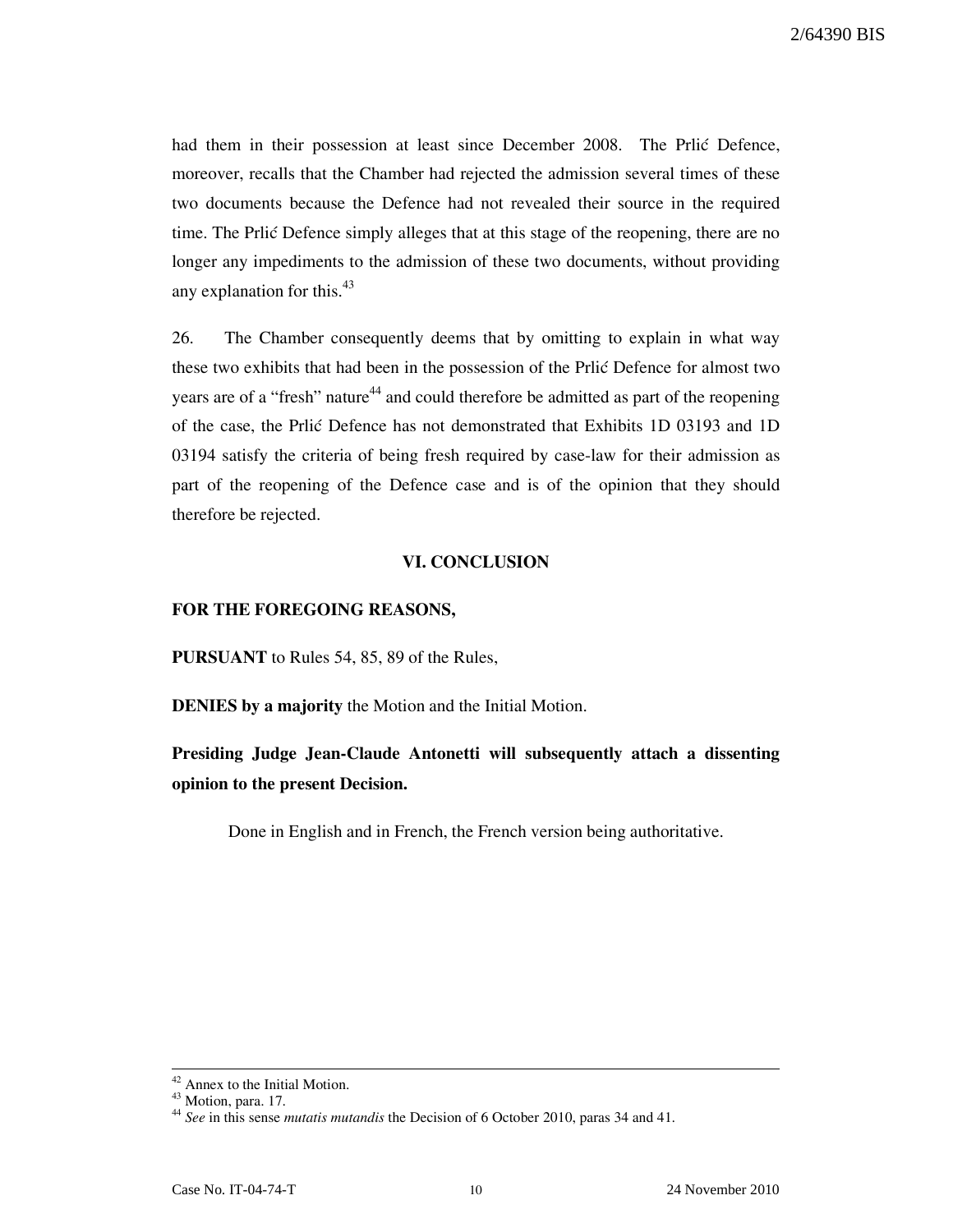had them in their possession at least since December 2008. The Prlić Defence, moreover, recalls that the Chamber had rejected the admission several times of these two documents because the Defence had not revealed their source in the required time. The Prlic Defence simply alleges that at this stage of the reopening, there are no longer any impediments to the admission of these two documents, without providing any explanation for this. $43$ 

26. The Chamber consequently deems that by omitting to explain in what way these two exhibits that had been in the possession of the Prlić Defence for almost two years are of a "fresh" nature<sup>44</sup> and could therefore be admitted as part of the reopening of the case, the Prli} Defence has not demonstrated that Exhibits 1D 03193 and 1D 03194 satisfy the criteria of being fresh required by case-law for their admission as part of the reopening of the Defence case and is of the opinion that they should therefore be rejected.

## VI. CONCLUSION

### FOR THE FOREGOING REASONS,

PURSUANT to Rules 54, 85, 89 of the Rules,

DENIES by a majority the Motion and the Initial Motion.

# Presiding Judge Jean-Claude Antonetti will subsequently attach a dissenting opinion to the present Decision.

Done in English and in French, the French version being authoritative.

<sup>-</sup><sup>42</sup> Annex to the Initial Motion.

 $43$  Motion, para. 17.

 $^{44}$  See in this sense *mutatis mutandis* the Decision of 6 October 2010, paras 34 and 41.